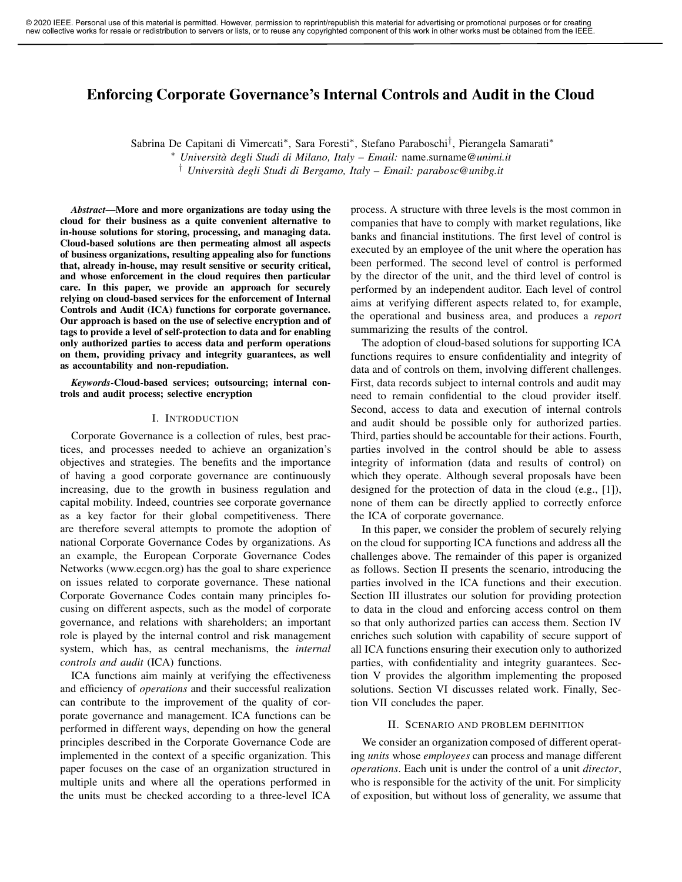# Enforcing Corporate Governance's Internal Controls and Audit in the Cloud

Sabrina De Capitani di Vimercati\*, Sara Foresti\*, Stefano Paraboschi<sup>†</sup>, Pierangela Samarati\*

<sup>∗</sup> *Università degli Studi di Milano, Italy – Email:* name.surname*@unimi.it*

† *Università degli Studi di Bergamo, Italy – Email: parabosc@unibg.it*

*Abstract*—More and more organizations are today using the cloud for their business as a quite convenient alternative to in-house solutions for storing, processing, and managing data. Cloud-based solutions are then permeating almost all aspects of business organizations, resulting appealing also for functions that, already in-house, may result sensitive or security critical, and whose enforcement in the cloud requires then particular care. In this paper, we provide an approach for securely relying on cloud-based services for the enforcement of Internal Controls and Audit (ICA) functions for corporate governance. Our approach is based on the use of selective encryption and of tags to provide a level of self-protection to data and for enabling only authorized parties to access data and perform operations on them, providing privacy and integrity guarantees, as well as accountability and non-repudiation.

*Keywords*-Cloud-based services; outsourcing; internal controls and audit process; selective encryption

#### I. INTRODUCTION

Corporate Governance is a collection of rules, best practices, and processes needed to achieve an organization's objectives and strategies. The benefits and the importance of having a good corporate governance are continuously increasing, due to the growth in business regulation and capital mobility. Indeed, countries see corporate governance as a key factor for their global competitiveness. There are therefore several attempts to promote the adoption of national Corporate Governance Codes by organizations. As an example, the European Corporate Governance Codes Networks (www.ecgcn.org) has the goal to share experience on issues related to corporate governance. These national Corporate Governance Codes contain many principles focusing on different aspects, such as the model of corporate governance, and relations with shareholders; an important role is played by the internal control and risk management system, which has, as central mechanisms, the *internal controls and audit* (ICA) functions.

ICA functions aim mainly at verifying the effectiveness and efficiency of *operations* and their successful realization can contribute to the improvement of the quality of corporate governance and management. ICA functions can be performed in different ways, depending on how the general principles described in the Corporate Governance Code are implemented in the context of a specific organization. This paper focuses on the case of an organization structured in multiple units and where all the operations performed in the units must be checked according to a three-level ICA process. A structure with three levels is the most common in companies that have to comply with market regulations, like banks and financial institutions. The first level of control is executed by an employee of the unit where the operation has been performed. The second level of control is performed by the director of the unit, and the third level of control is performed by an independent auditor. Each level of control aims at verifying different aspects related to, for example, the operational and business area, and produces a *report* summarizing the results of the control.

The adoption of cloud-based solutions for supporting ICA functions requires to ensure confidentiality and integrity of data and of controls on them, involving different challenges. First, data records subject to internal controls and audit may need to remain confidential to the cloud provider itself. Second, access to data and execution of internal controls and audit should be possible only for authorized parties. Third, parties should be accountable for their actions. Fourth, parties involved in the control should be able to assess integrity of information (data and results of control) on which they operate. Although several proposals have been designed for the protection of data in the cloud (e.g., [1]), none of them can be directly applied to correctly enforce the ICA of corporate governance.

In this paper, we consider the problem of securely relying on the cloud for supporting ICA functions and address all the challenges above. The remainder of this paper is organized as follows. Section II presents the scenario, introducing the parties involved in the ICA functions and their execution. Section III illustrates our solution for providing protection to data in the cloud and enforcing access control on them so that only authorized parties can access them. Section IV enriches such solution with capability of secure support of all ICA functions ensuring their execution only to authorized parties, with confidentiality and integrity guarantees. Section V provides the algorithm implementing the proposed solutions. Section VI discusses related work. Finally, Section VII concludes the paper.

## II. SCENARIO AND PROBLEM DEFINITION

We consider an organization composed of different operating *units* whose *employees* can process and manage different *operations*. Each unit is under the control of a unit *director*, who is responsible for the activity of the unit. For simplicity of exposition, but without loss of generality, we assume that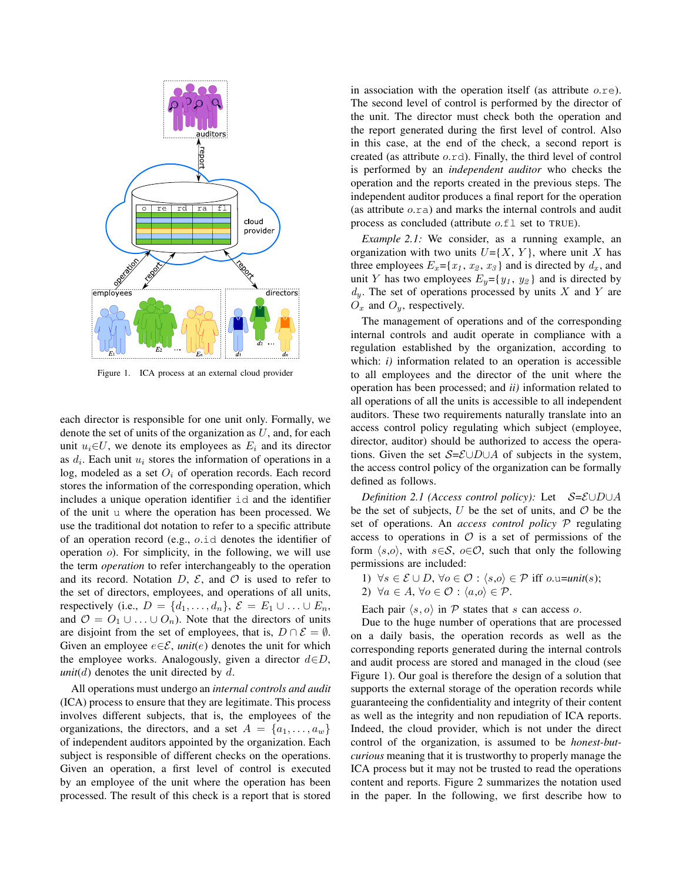

Figure 1. ICA process at an external cloud provider

each director is responsible for one unit only. Formally, we denote the set of units of the organization as  $U$ , and, for each unit  $u_i \in U$ , we denote its employees as  $E_i$  and its director as  $d_i$ . Each unit  $u_i$  stores the information of operations in a log, modeled as a set  $O_i$  of operation records. Each record stores the information of the corresponding operation, which includes a unique operation identifier id and the identifier of the unit u where the operation has been processed. We use the traditional dot notation to refer to a specific attribute of an operation record (e.g., o.id denotes the identifier of operation  $\varphi$ ). For simplicity, in the following, we will use the term *operation* to refer interchangeably to the operation and its record. Notation  $D$ ,  $\mathcal{E}$ , and  $\mathcal{O}$  is used to refer to the set of directors, employees, and operations of all units, respectively (i.e.,  $D = \{d_1, \ldots, d_n\}, \, \mathcal{E} = E_1 \cup \ldots \cup E_n,$ and  $\mathcal{O} = O_1 \cup \ldots \cup O_n$ . Note that the directors of units are disjoint from the set of employees, that is,  $D \cap \mathcal{E} = \emptyset$ . Given an employee  $e \in \mathcal{E}$ , *unit*(*e*) denotes the unit for which the employee works. Analogously, given a director  $d \in D$ , *unit*( $d$ ) denotes the unit directed by  $d$ .

All operations must undergo an *internal controls and audit* (ICA) process to ensure that they are legitimate. This process involves different subjects, that is, the employees of the organizations, the directors, and a set  $A = \{a_1, \ldots, a_w\}$ of independent auditors appointed by the organization. Each subject is responsible of different checks on the operations. Given an operation, a first level of control is executed by an employee of the unit where the operation has been processed. The result of this check is a report that is stored in association with the operation itself (as attribute  $o$ .re). The second level of control is performed by the director of the unit. The director must check both the operation and the report generated during the first level of control. Also in this case, at the end of the check, a second report is created (as attribute o.rd). Finally, the third level of control is performed by an *independent auditor* who checks the operation and the reports created in the previous steps. The independent auditor produces a final report for the operation (as attribute o.ra) and marks the internal controls and audit process as concluded (attribute o.fl set to TRUE).

*Example 2.1:* We consider, as a running example, an organization with two units  $U= {X, Y}$ , where unit X has three employees  $E_x = \{x_1, x_2, x_3\}$  and is directed by  $d_x$ , and unit Y has two employees  $E_y = \{y_1, y_2\}$  and is directed by  $d_y$ . The set of operations processed by units X and Y are  $O_x$  and  $O_y$ , respectively.

The management of operations and of the corresponding internal controls and audit operate in compliance with a regulation established by the organization, according to which: *i*) information related to an operation is accessible to all employees and the director of the unit where the operation has been processed; and *ii)* information related to all operations of all the units is accessible to all independent auditors. These two requirements naturally translate into an access control policy regulating which subject (employee, director, auditor) should be authorized to access the operations. Given the set  $S=\mathcal{E} \cup D \cup A$  of subjects in the system, the access control policy of the organization can be formally defined as follows.

*Definition 2.1 (Access control policy):* Let  $S = \mathcal{E} \cup D \cup A$ be the set of subjects,  $U$  be the set of units, and  $O$  be the set of operations. An *access control policy* P regulating access to operations in  $\mathcal O$  is a set of permissions of the form  $\langle s,o \rangle$ , with  $s \in S$ ,  $o \in \mathcal{O}$ , such that only the following permissions are included:

1)  $\forall s \in \mathcal{E} \cup D$ ,  $\forall o \in \mathcal{O} : \langle s,o \rangle \in \mathcal{P}$  iff o.u=*unit*(s); 2)  $\forall a \in A, \forall o \in \mathcal{O} : \langle a, o \rangle \in \mathcal{P}.$ 

Each pair  $\langle s, o \rangle$  in P states that s can access o.

Due to the huge number of operations that are processed on a daily basis, the operation records as well as the corresponding reports generated during the internal controls and audit process are stored and managed in the cloud (see Figure 1). Our goal is therefore the design of a solution that supports the external storage of the operation records while guaranteeing the confidentiality and integrity of their content as well as the integrity and non repudiation of ICA reports. Indeed, the cloud provider, which is not under the direct control of the organization, is assumed to be *honest-butcurious* meaning that it is trustworthy to properly manage the ICA process but it may not be trusted to read the operations content and reports. Figure 2 summarizes the notation used in the paper. In the following, we first describe how to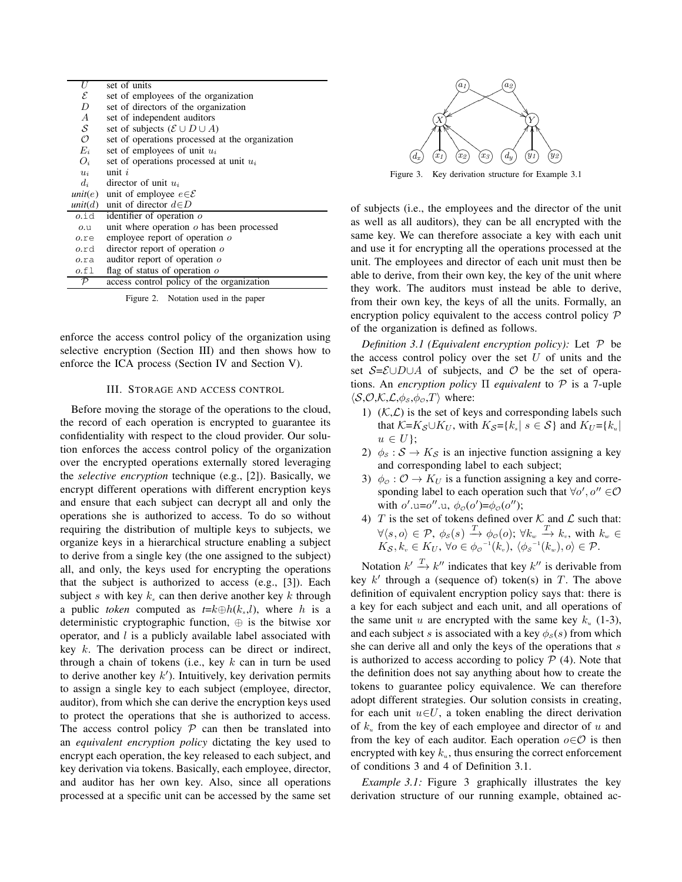|                                         | U                                                  | set of units                                    |  |  |  |  |  |  |
|-----------------------------------------|----------------------------------------------------|-------------------------------------------------|--|--|--|--|--|--|
|                                         | $\mathcal E$                                       | set of employees of the organization            |  |  |  |  |  |  |
|                                         | D<br>set of directors of the organization          |                                                 |  |  |  |  |  |  |
|                                         | $\overline{A}$                                     | set of independent auditors                     |  |  |  |  |  |  |
|                                         | $\mathcal{S}_{0}$                                  | set of subjects $(\mathcal{E} \cup D \cup A)$   |  |  |  |  |  |  |
|                                         | $\mathcal{O}$                                      | set of operations processed at the organization |  |  |  |  |  |  |
| $E_i$<br>set of employees of unit $u_i$ |                                                    |                                                 |  |  |  |  |  |  |
|                                         | $O_i$<br>set of operations processed at unit $u_i$ |                                                 |  |  |  |  |  |  |
|                                         | $u_i$                                              | unit $i$                                        |  |  |  |  |  |  |
|                                         | $d_i$                                              | director of unit $u_i$                          |  |  |  |  |  |  |
|                                         | unit(e)                                            | unit of employee $e \in \mathcal{E}$            |  |  |  |  |  |  |
|                                         | unit(d)                                            | unit of director $d \in D$                      |  |  |  |  |  |  |
|                                         | $0.\dot{1}\dot{d}$                                 | identifier of operation $o$                     |  |  |  |  |  |  |
|                                         | 0.0                                                | unit where operation $o$ has been processed     |  |  |  |  |  |  |
|                                         | $o$ .re                                            | employee report of operation $\sigma$           |  |  |  |  |  |  |
|                                         | o.rd                                               | director report of operation $o$                |  |  |  |  |  |  |
|                                         | o.ra                                               | auditor report of operation o                   |  |  |  |  |  |  |
|                                         | 0.fl                                               | flag of status of operation $o$                 |  |  |  |  |  |  |
|                                         | $\mathcal P$                                       | access control policy of the organization       |  |  |  |  |  |  |
|                                         |                                                    |                                                 |  |  |  |  |  |  |

Figure 2. Notation used in the paper

enforce the access control policy of the organization using selective encryption (Section III) and then shows how to enforce the ICA process (Section IV and Section V).

# III. STORAGE AND ACCESS CONTROL

Before moving the storage of the operations to the cloud, the record of each operation is encrypted to guarantee its confidentiality with respect to the cloud provider. Our solution enforces the access control policy of the organization over the encrypted operations externally stored leveraging the *selective encryption* technique (e.g., [2]). Basically, we encrypt different operations with different encryption keys and ensure that each subject can decrypt all and only the operations she is authorized to access. To do so without requiring the distribution of multiple keys to subjects, we organize keys in a hierarchical structure enabling a subject to derive from a single key (the one assigned to the subject) all, and only, the keys used for encrypting the operations that the subject is authorized to access (e.g., [3]). Each subject s with key  $k_s$  can then derive another key k through a public *token* computed as  $t = k \oplus h(k_s, l)$ , where h is a deterministic cryptographic function, ⊕ is the bitwise xor operator, and  $l$  is a publicly available label associated with key k. The derivation process can be direct or indirect, through a chain of tokens (i.e., key  $k$  can in turn be used to derive another key  $k'$ ). Intuitively, key derivation permits to assign a single key to each subject (employee, director, auditor), from which she can derive the encryption keys used to protect the operations that she is authorized to access. The access control policy  $P$  can then be translated into an *equivalent encryption policy* dictating the key used to encrypt each operation, the key released to each subject, and key derivation via tokens. Basically, each employee, director, and auditor has her own key. Also, since all operations processed at a specific unit can be accessed by the same set



Figure 3. Key derivation structure for Example 3.1

of subjects (i.e., the employees and the director of the unit as well as all auditors), they can be all encrypted with the same key. We can therefore associate a key with each unit and use it for encrypting all the operations processed at the unit. The employees and director of each unit must then be able to derive, from their own key, the key of the unit where they work. The auditors must instead be able to derive, from their own key, the keys of all the units. Formally, an encryption policy equivalent to the access control policy  $P$ of the organization is defined as follows.

*Definition 3.1 (Equivalent encryption policy):* Let P be the access control policy over the set  $U$  of units and the set  $S=\mathcal{E} \cup D \cup A$  of subjects, and  $\mathcal O$  be the set of operations. An *encryption policy* Π *equivalent* to P is a 7-uple  $\langle S, O, K, L, \phi_s, \phi_o, T \rangle$  where:

- 1)  $(K,\mathcal{L})$  is the set of keys and corresponding labels such that  $K=K_{\mathcal{S}}\cup K_{U}$ , with  $K_{\mathcal{S}}=\{k_{s}|\ s\in\mathcal{S}\}\$  and  $K_{U}=\{k_{u}|\ s\in\mathcal{S}\}$  $u \in U$ ;
- 2)  $\phi_s$ :  $S \rightarrow K_S$  is an injective function assigning a key and corresponding label to each subject;
- 3)  $\phi_{\mathcal{O}} : \mathcal{O} \to K_U$  is a function assigning a key and corresponding label to each operation such that  $\forall o', o'' \in O$ with  $o'$ .u= $o''$ .u,  $\phi_o(o') = \phi_o(o'')$ ;
- 4) T is the set of tokens defined over  $K$  and  $L$  such that:  $\forall \langle s, o\rangle \in \mathcal{P}, \ \phi_{\mathcal{S}}(s) \stackrel{T}{\longrightarrow} \phi_{\mathcal{O}}(o); \ \forall k_w \stackrel{T}{\longrightarrow} k_v, \text{ with } k_w \in$  $K_{\mathcal{S}}, k_{v} \in K_{U}, \ \forall o \in {\phi_{\mathcal{O}}}^{-1}(k_{v}), \ \langle {\phi_{\mathcal{S}}}^{-1}(k_{w}), o \rangle \in \mathcal{P}.$

Notation  $k' \stackrel{T}{\rightarrow} k''$  indicates that key  $k''$  is derivable from key  $k'$  through a (sequence of) token(s) in  $T$ . The above definition of equivalent encryption policy says that: there is a key for each subject and each unit, and all operations of the same unit u are encrypted with the same key  $k_u$  (1-3), and each subject s is associated with a key  $\phi_s(s)$  from which she can derive all and only the keys of the operations that s is authorized to access according to policy  $P(4)$ . Note that the definition does not say anything about how to create the tokens to guarantee policy equivalence. We can therefore adopt different strategies. Our solution consists in creating, for each unit  $u \in U$ , a token enabling the direct derivation of  $k_u$  from the key of each employee and director of u and from the key of each auditor. Each operation  $o \in \mathcal{O}$  is then encrypted with key  $k_u$ , thus ensuring the correct enforcement of conditions 3 and 4 of Definition 3.1.

*Example 3.1:* Figure 3 graphically illustrates the key derivation structure of our running example, obtained ac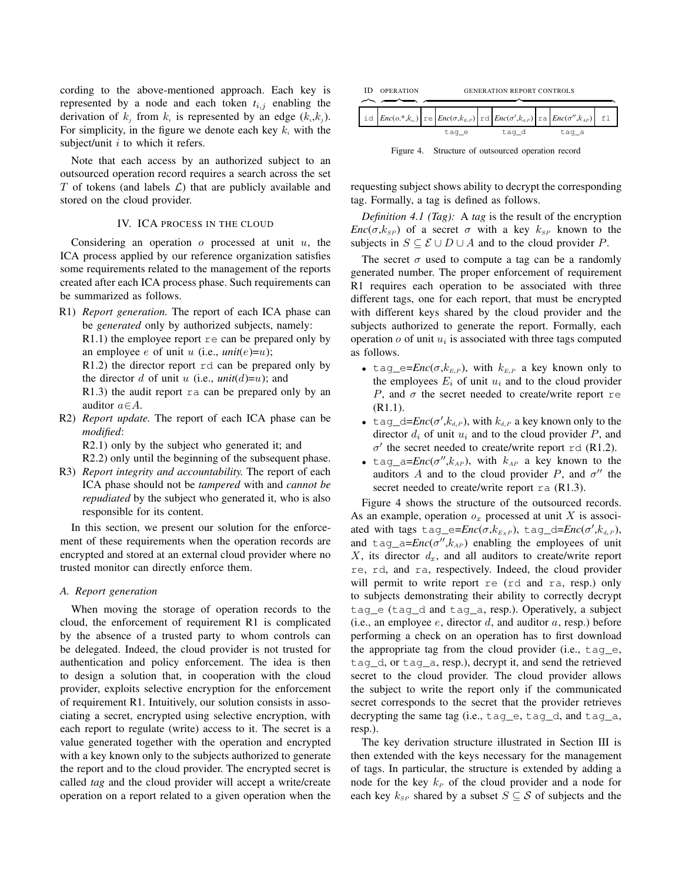cording to the above-mentioned approach. Each key is represented by a node and each token  $t_{i,j}$  enabling the derivation of  $k_j$  from  $k_i$  is represented by an edge  $(k_i, k_j)$ . For simplicity, in the figure we denote each key  $k_i$  with the subject/unit  $i$  to which it refers.

Note that each access by an authorized subject to an outsourced operation record requires a search across the set T of tokens (and labels  $\mathcal{L}$ ) that are publicly available and stored on the cloud provider.

## IV. ICA PROCESS IN THE CLOUD

Considering an operation  $o$  processed at unit  $u$ , the ICA process applied by our reference organization satisfies some requirements related to the management of the reports created after each ICA process phase. Such requirements can be summarized as follows.

R1) *Report generation.* The report of each ICA phase can be *generated* only by authorized subjects, namely:

 $R1.1$ ) the employee report  $r \in \text{can}$  be prepared only by an employee e of unit u (i.e.,  $\text{unit}(e)=u$ );

R1.2) the director report rd can be prepared only by the director d of unit u (i.e.,  $unit(d)=u$ ); and

R1.3) the audit report ra can be prepared only by an auditor  $a \in A$ .

R2) *Report update.* The report of each ICA phase can be *modified*:

R2.1) only by the subject who generated it; and

R2.2) only until the beginning of the subsequent phase.

R3) *Report integrity and accountability.* The report of each ICA phase should not be *tampered* with and *cannot be repudiated* by the subject who generated it, who is also responsible for its content.

In this section, we present our solution for the enforcement of these requirements when the operation records are encrypted and stored at an external cloud provider where no trusted monitor can directly enforce them.

### *A. Report generation*

When moving the storage of operation records to the cloud, the enforcement of requirement R1 is complicated by the absence of a trusted party to whom controls can be delegated. Indeed, the cloud provider is not trusted for authentication and policy enforcement. The idea is then to design a solution that, in cooperation with the cloud provider, exploits selective encryption for the enforcement of requirement R1. Intuitively, our solution consists in associating a secret, encrypted using selective encryption, with each report to regulate (write) access to it. The secret is a value generated together with the operation and encrypted with a key known only to the subjects authorized to generate the report and to the cloud provider. The encrypted secret is called *tag* and the cloud provider will accept a write/create operation on a report related to a given operation when the



Figure 4. Structure of outsourced operation record

requesting subject shows ability to decrypt the corresponding tag. Formally, a tag is defined as follows.

*Definition 4.1 (Tag):* A *tag* is the result of the encryption *Enc*( $\sigma$ , $k_{SP}$ ) of a secret  $\sigma$  with a key  $k_{SP}$  known to the subjects in  $S \subseteq \mathcal{E} \cup D \cup A$  and to the cloud provider P.

The secret  $\sigma$  used to compute a tag can be a randomly generated number. The proper enforcement of requirement R1 requires each operation to be associated with three different tags, one for each report, that must be encrypted with different keys shared by the cloud provider and the subjects authorized to generate the report. Formally, each operation  $o$  of unit  $u_i$  is associated with three tags computed as follows.

- tag\_e= $Enc(\sigma, k_{E_iP})$ , with  $k_{E_iP}$  a key known only to the employees  $E_i$  of unit  $u_i$  and to the cloud provider P, and  $\sigma$  the secret needed to create/write report re (R1.1).
- tag\_d= $Enc(\sigma', k_{d_iP})$ , with  $k_{d_iP}$  a key known only to the director  $d_i$  of unit  $u_i$  and to the cloud provider P, and  $\sigma'$  the secret needed to create/write report rd (R1.2).
- tag\_a= $Enc(\sigma'', k_{AP})$ , with  $k_{AP}$  a key known to the auditors A and to the cloud provider P, and  $\sigma''$  the secret needed to create/write report ra  $(R1.3)$ .

Figure 4 shows the structure of the outsourced records. As an example, operation  $o_x$  processed at unit X is associ-ated with tags tag\_e= $Enc(\sigma, k_{E_XP})$ , tag\_d= $Enc(\sigma', k_{d_xP})$ , and  $\text{tag}_a = Enc(\sigma'', k_{AP})$  enabling the employees of unit  $X$ , its director  $d_x$ , and all auditors to create/write report re, rd, and ra, respectively. Indeed, the cloud provider will permit to write report re (rd and ra, resp.) only to subjects demonstrating their ability to correctly decrypt tag\_e (tag\_d and tag\_a, resp.). Operatively, a subject (i.e., an employee  $e$ , director  $d$ , and auditor  $a$ , resp.) before performing a check on an operation has to first download the appropriate tag from the cloud provider (i.e., tag\_e, tag\_d, or tag\_a, resp.), decrypt it, and send the retrieved secret to the cloud provider. The cloud provider allows the subject to write the report only if the communicated secret corresponds to the secret that the provider retrieves decrypting the same tag (i.e., tag\_e, tag\_d, and tag\_a, resp.).

The key derivation structure illustrated in Section III is then extended with the keys necessary for the management of tags. In particular, the structure is extended by adding a node for the key  $k_P$  of the cloud provider and a node for each key  $k_{SP}$  shared by a subset  $S \subseteq S$  of subjects and the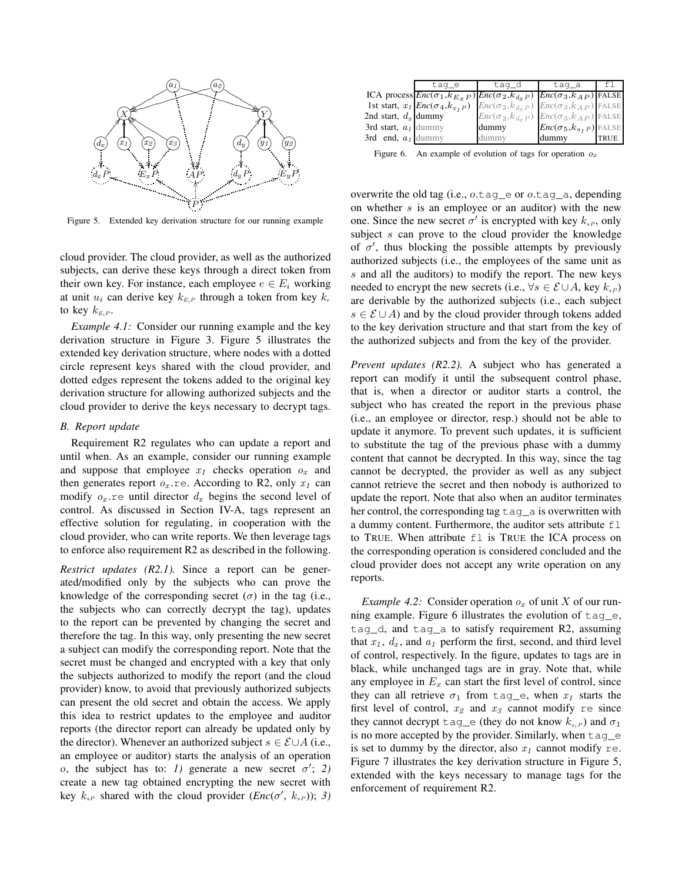

Figure 5. Extended key derivation structure for our running example

cloud provider. The cloud provider, as well as the authorized subjects, can derive these keys through a direct token from their own key. For instance, each employee  $e \in E_i$  working at unit  $u_i$  can derive key  $k_{E_iP}$  through a token from key  $k_e$ to key  $k_{E_iP}$ .

*Example 4.1:* Consider our running example and the key derivation structure in Figure 3. Figure 5 illustrates the extended key derivation structure, where nodes with a dotted circle represent keys shared with the cloud provider, and dotted edges represent the tokens added to the original key derivation structure for allowing authorized subjects and the cloud provider to derive the keys necessary to decrypt tags.

### *B. Report update*

Requirement R2 regulates who can update a report and until when. As an example, consider our running example and suppose that employee  $x_1$  checks operation  $o_x$  and then generates report  $o_x$  re. According to R2, only  $x_1$  can modify  $o_x$  re until director  $d_x$  begins the second level of control. As discussed in Section IV-A, tags represent an effective solution for regulating, in cooperation with the cloud provider, who can write reports. We then leverage tags to enforce also requirement R2 as described in the following.

*Restrict updates (R2.1).* Since a report can be generated/modified only by the subjects who can prove the knowledge of the corresponding secret  $(\sigma)$  in the tag (i.e., the subjects who can correctly decrypt the tag), updates to the report can be prevented by changing the secret and therefore the tag. In this way, only presenting the new secret a subject can modify the corresponding report. Note that the secret must be changed and encrypted with a key that only the subjects authorized to modify the report (and the cloud provider) know, to avoid that previously authorized subjects can present the old secret and obtain the access. We apply this idea to restrict updates to the employee and auditor reports (the director report can already be updated only by the director). Whenever an authorized subject  $s \in \mathcal{E} \cup A$  (i.e., an employee or auditor) starts the analysis of an operation o, the subject has to: *1*) generate a new secret  $\sigma'$ ; 2) create a new tag obtained encrypting the new secret with key  $k_{sP}$  shared with the cloud provider (*Enc*( $\sigma'$ ,  $k_{sP}$ )); *3*)

|                        | taq_e                                                             | taq_d                      | taq_a                            |             |
|------------------------|-------------------------------------------------------------------|----------------------------|----------------------------------|-------------|
|                        | ICA process $Enc(\sigma_1, k_{E_x P})$ $Enc(\sigma_2, k_{d_x P})$ |                            | $Enc(\sigma_3, k_{AP})$ FALSE    |             |
|                        | 1st start, $x_1$ <i>Enc</i> ( $\sigma_4$ , $k_{x_1}$ <i>P</i> )   | $Enc(\sigma_2, k_{d_x P})$ | $Enc(\sigma_3, k_{AP})$ FALSE    |             |
| 2nd start, $d_x$ dummy |                                                                   | $Enc(\sigma_2, k_{d,p})$   | $Enc(\sigma_3, k_{AP})$ FALSE    |             |
| 3rd start, $a_1$ dummy |                                                                   | dummy                      | $Enc(\sigma_5, k_{a_f P})$ FALSE |             |
| 3rd end, $a_1$ dummy   |                                                                   | dummy                      | dummy                            | <b>TRUE</b> |

Figure 6. An example of evolution of tags for operation  $o_x$ 

overwrite the old tag (i.e., o.tag\_e or o.tag\_a, depending on whether  $s$  is an employee or an auditor) with the new one. Since the new secret  $\sigma'$  is encrypted with key  $k_{sP}$ , only subject s can prove to the cloud provider the knowledge of  $\sigma'$ , thus blocking the possible attempts by previously authorized subjects (i.e., the employees of the same unit as s and all the auditors) to modify the report. The new keys needed to encrypt the new secrets (i.e.,  $\forall s \in \mathcal{E} \cup A$ , key  $k_{s}$ ) are derivable by the authorized subjects (i.e., each subject  $s \in \mathcal{E} \cup A$ ) and by the cloud provider through tokens added to the key derivation structure and that start from the key of the authorized subjects and from the key of the provider.

*Prevent updates (R2.2).* A subject who has generated a report can modify it until the subsequent control phase, that is, when a director or auditor starts a control, the subject who has created the report in the previous phase (i.e., an employee or director, resp.) should not be able to update it anymore. To prevent such updates, it is sufficient to substitute the tag of the previous phase with a dummy content that cannot be decrypted. In this way, since the tag cannot be decrypted, the provider as well as any subject cannot retrieve the secret and then nobody is authorized to update the report. Note that also when an auditor terminates her control, the corresponding tag  $\text{tag}_a$  is overwritten with a dummy content. Furthermore, the auditor sets attribute  $f \perp$ to TRUE. When attribute fl is TRUE the ICA process on the corresponding operation is considered concluded and the cloud provider does not accept any write operation on any reports.

*Example 4.2:* Consider operation  $o_x$  of unit X of our running example. Figure 6 illustrates the evolution of tag\_e, tag\_d, and tag\_a to satisfy requirement R2, assuming that  $x_1$ ,  $d_x$ , and  $a_1$  perform the first, second, and third level of control, respectively. In the figure, updates to tags are in black, while unchanged tags are in gray. Note that, while any employee in  $E_x$  can start the first level of control, since they can all retrieve  $\sigma_1$  from tag e, when  $x_1$  starts the first level of control,  $x_2$  and  $x_3$  cannot modify re since they cannot decrypt  $\text{tag}_e$  (they do not know  $k_{x_1P}$ ) and  $\sigma_1$ is no more accepted by the provider. Similarly, when tag\_e is set to dummy by the director, also  $x_1$  cannot modify re. Figure 7 illustrates the key derivation structure in Figure 5, extended with the keys necessary to manage tags for the enforcement of requirement R2.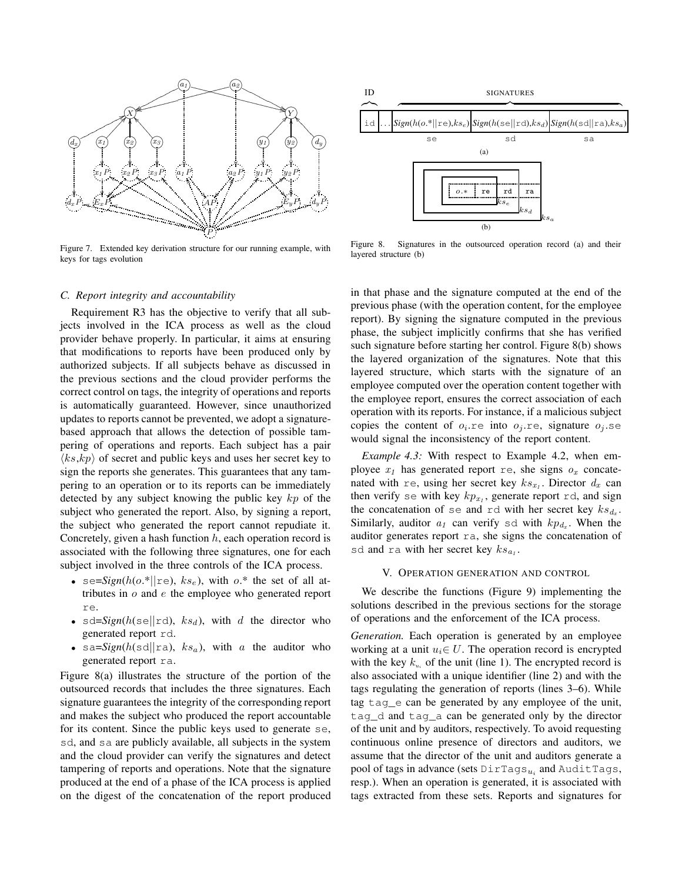

Figure 7. Extended key derivation structure for our running example, with keys for tags evolution

# *C. Report integrity and accountability*

Requirement R3 has the objective to verify that all subjects involved in the ICA process as well as the cloud provider behave properly. In particular, it aims at ensuring that modifications to reports have been produced only by authorized subjects. If all subjects behave as discussed in the previous sections and the cloud provider performs the correct control on tags, the integrity of operations and reports is automatically guaranteed. However, since unauthorized updates to reports cannot be prevented, we adopt a signaturebased approach that allows the detection of possible tampering of operations and reports. Each subject has a pair  $\langle ks, kp \rangle$  of secret and public keys and uses her secret key to sign the reports she generates. This guarantees that any tampering to an operation or to its reports can be immediately detected by any subject knowing the public key kp of the subject who generated the report. Also, by signing a report, the subject who generated the report cannot repudiate it. Concretely, given a hash function  $h$ , each operation record is associated with the following three signatures, one for each subject involved in the three controls of the ICA process.

- se= $Sign(h(o.*||re), ks_e)$ , with  $o.*$  the set of all attributes in  $o$  and  $e$  the employee who generated report re.
- sd= $Sign(h(\leq ||rd), ks_d)$ , with d the director who generated report rd.
- sa= $Sign(h(\text{sd}||\text{ra}), ks_a)$ , with a the auditor who generated report ra.

Figure 8(a) illustrates the structure of the portion of the outsourced records that includes the three signatures. Each signature guarantees the integrity of the corresponding report and makes the subject who produced the report accountable for its content. Since the public keys used to generate se, sd, and sa are publicly available, all subjects in the system and the cloud provider can verify the signatures and detect tampering of reports and operations. Note that the signature produced at the end of a phase of the ICA process is applied on the digest of the concatenation of the report produced



Figure 8. Signatures in the outsourced operation record (a) and their layered structure (b)

in that phase and the signature computed at the end of the previous phase (with the operation content, for the employee report). By signing the signature computed in the previous phase, the subject implicitly confirms that she has verified such signature before starting her control. Figure 8(b) shows the layered organization of the signatures. Note that this layered structure, which starts with the signature of an employee computed over the operation content together with the employee report, ensures the correct association of each operation with its reports. For instance, if a malicious subject copies the content of  $o_i$  re into  $o_j$  re, signature  $o_j$  se would signal the inconsistency of the report content.

*Example 4.3:* With respect to Example 4.2, when employee  $x_1$  has generated report re, she signs  $o_x$  concatenated with re, using her secret key  $ks_{x_1}$ . Director  $d_x$  can then verify se with key  $kp_{x_1}$ , generate report rd, and sign the concatenation of se and rd with her secret key  $ks_{d_x}$ . Similarly, auditor  $a_1$  can verify sd with  $kp_{d_x}$ . When the auditor generates report ra, she signs the concatenation of sd and ra with her secret key  $ks_{a_1}$ .

#### V. OPERATION GENERATION AND CONTROL

We describe the functions (Figure 9) implementing the solutions described in the previous sections for the storage of operations and the enforcement of the ICA process.

*Generation.* Each operation is generated by an employee working at a unit  $u_i \in U$ . The operation record is encrypted with the key  $k_{u}$  of the unit (line 1). The encrypted record is also associated with a unique identifier (line 2) and with the tags regulating the generation of reports (lines 3–6). While tag tag\_e can be generated by any employee of the unit, tag\_d and tag\_a can be generated only by the director of the unit and by auditors, respectively. To avoid requesting continuous online presence of directors and auditors, we assume that the director of the unit and auditors generate a pool of tags in advance (sets  $\text{DirTags}_{u_i}$  and  $\text{AutTags},$ resp.). When an operation is generated, it is associated with tags extracted from these sets. Reports and signatures for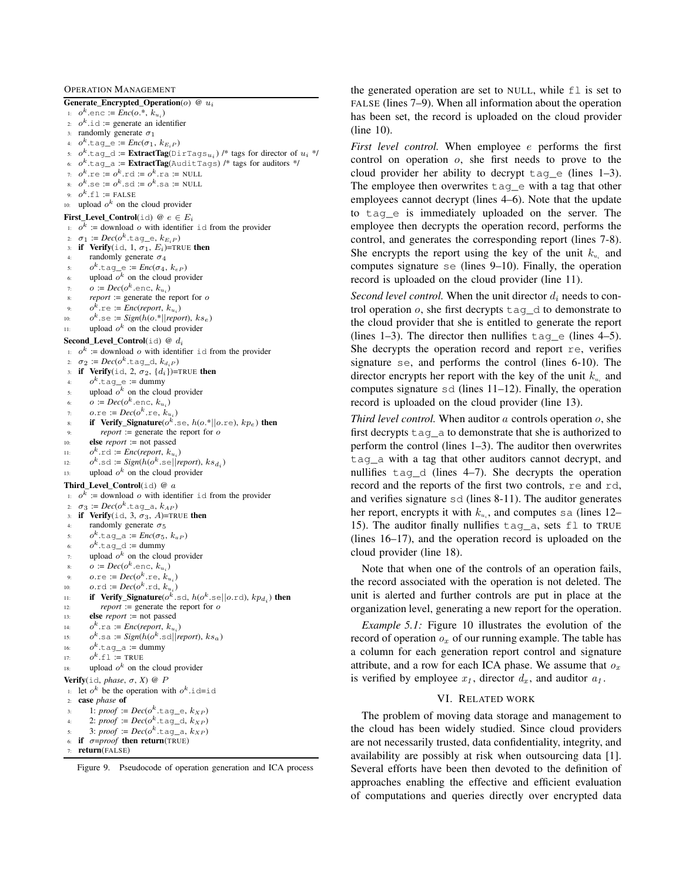OPERATION MANAGEMENT

Generate\_Encrypted\_Operation( $o$ ) @  $u_i$ 1:  $o^k$  enc := *Enc*( $o^*$ ,  $k_{u_i}$ ) 2:  $o^k$ .id := generate an identifier 3: randomly generate  $\sigma_1$ 4:  $o^k$ .tag\_e :=  $Enc(\sigma_1, k_{E_iP})$ 5:  $o^k$ .tag\_d := **ExtractTag**(DirTags $_{u_i}$ ) /\* tags for director of  $u_i$  \*/ 6:  $o^k$ .tag\_a := **ExtractTag**(AuditTags) /\* tags for auditors \*/ 7:  $o^k$ .re :=  $o^k$ .rd :=  $o^k$ .ra := NULL 8:  $o^k$ .se :=  $o^k$ .sd :=  $o^k$ .sa := NULL 9:  $o^k$ .fl := FALSE 10: upload  $o^k$  on the cloud provider First\_Level\_Control(id)  $@ e \in E_i$ 1:  $o^k$  := download o with identifier id from the provider 2:  $\sigma_1 := Dec(o^k.\texttt{tag\_e}, k_{E_iP})$ 3: if Verify(id, 1,  $\sigma_1$ ,  $E_i$ )=TRUE then randomly generate  $\sigma_4$ 5:  $o^k$ .tag\_e :=  $Enc(\sigma_4, k_{eP})$ 6: upload  $o^k$  on the cloud provider 7:  $o := Dec(o^k.\text{enc}, k_{u_i})$ 8: *report* := generate the report for o 9:  $o^k$ .re := *Enc*(*report*,  $k_{u_i}$ ) 10:  $o^k$ .se :=  $Sign(h(o.*||report), ks_e)$ 11: upload  $o^k$  on the cloud provider Second\_Level\_Control(id) @  $d_i$ 1:  $o^k$  := download o with identifier id from the provider 2:  $\sigma_2 := Dec(o^k.\texttt{tag\_d}, k_{d_iP})$ 3: if Verify(id, 2,  $\sigma_2$ , {d<sub>i</sub>})=TRUE then 4:  $o^k$ .tag\_e := dummy  $\mathfrak{s}$ : upload  $o^k$  on the cloud provider 6:  $o := Dec(o^k.\text{enc}, k_{u_i})$ 7:  $o.\text{re} := Dec(o^k.\text{re}, k_{u_i})$ 8: if Verify\_Signature( $o^k$ .se,  $h(o.*||o.re)$ ,  $kp_e$ ) then  $report := generate the report for  $o$$ 10: else *report* := not passed 11:  $o^k$ .rd := *Enc*(*report*,  $k_{u_i}$ ) 12:  $o^k$ .sd :=  $Sign(h(o^k \text{.se}|| \text{report}), \text{ks}_{d_i})$ 13: upload  $o^k$  on the cloud provider Third\_Level\_Control(id) @  $a$ 1:  $o^k$  := download o with identifier id from the provider 2:  $\sigma_3 := Dec(o^k.\texttt{tag\_a}, k_{AP})$ 3: if Verify(id, 3,  $\sigma_3$ , A)=TRUE then randomly generate  $\sigma_5$ 5:  $o^k$ .tag\_a :=  $Enc(\sigma_5, k_{aP})$ 6:  $o^k$ .tag\_d := dummy  $\eta$ : upload  $o^k$  on the cloud provider 8:  $o := Dec(o^k.\text{enc}, k_{u_i})$ 9:  $o.\text{re} := Dec(o^k.\text{re}, k_{u_i})$ 10:  $o.\text{rd} := Dec(o^k.\text{rd}, k_{u_i})$ 11: **if Verify\_Signature**( $o^k$ .sd,  $h(o^k$ .se|| $o$ .rd),  $kp_{d_i}$ ) then  $12:$  *report* := generate the report for  $o$ 13: else *report* := not passed 14:  $o^k$ .ra := *Enc*(*report*,  $k_{u_i}$ )  $15:$  $k$ .sa :=  $Sign(h(o^k \text{.sd}||report), ks_a)$ 16:  $o^k$ .tag\_a := dummy 17:  $o^k$ .fl := TRUE 18: upload  $o^k$  on the cloud provider **Verify**(id, *phase*,  $\sigma$ , *X*) @ *P* 1: let  $o^k$  be the operation with  $o^k$  id=id 2: case *phase* of 3: 1:  $\textit{proof} := \textit{Dec}(o^k.\texttt{tag\_e}, k_{XP})$ 4: 2:  $\textit{proof} := \textit{Dec}(o^k.\texttt{tag\_d}, k_{XP})$ 5: 3:  $\textit{proof} := \textit{Dec}(o^k.\texttt{tag\_a}, k_{XP})$ if *σ*=*proof* then return(TRUE)

return(FALSE)

Figure 9. Pseudocode of operation generation and ICA process

the generated operation are set to NULL, while fl is set to FALSE (lines 7–9). When all information about the operation has been set, the record is uploaded on the cloud provider (line 10).

*First level control.* When employee *e* performs the first control on operation o, she first needs to prove to the cloud provider her ability to decrypt  $\tan \theta$  (lines 1–3). The employee then overwrites tag\_e with a tag that other employees cannot decrypt (lines 4–6). Note that the update to tag\_e is immediately uploaded on the server. The employee then decrypts the operation record, performs the control, and generates the corresponding report (lines 7-8). She encrypts the report using the key of the unit  $k_u$  and computes signature se (lines 9–10). Finally, the operation record is uploaded on the cloud provider (line 11).

*Second level control.* When the unit director  $d_i$  needs to control operation  $o$ , she first decrypts  $\text{tag}_d$  to demonstrate to the cloud provider that she is entitled to generate the report (lines 1–3). The director then nullifies  $\text{tag}_e$  (lines 4–5). She decrypts the operation record and report re, verifies signature se, and performs the control (lines 6-10). The director encrypts her report with the key of the unit  $k_u$  and computes signature sd (lines 11–12). Finally, the operation record is uploaded on the cloud provider (line 13).

*Third level control.* When auditor a controls operation o, she first decrypts  $\text{tag}_a$  to demonstrate that she is authorized to perform the control (lines 1–3). The auditor then overwrites tag\_a with a tag that other auditors cannot decrypt, and nullifies tag\_d (lines 4–7). She decrypts the operation record and the reports of the first two controls, re and rd, and verifies signature sd (lines 8-11). The auditor generates her report, encrypts it with  $k_{u_i}$ , and computes sa (lines 12– 15). The auditor finally nullifies tag\_a, sets fl to TRUE (lines 16–17), and the operation record is uploaded on the cloud provider (line 18).

Note that when one of the controls of an operation fails, the record associated with the operation is not deleted. The unit is alerted and further controls are put in place at the organization level, generating a new report for the operation.

*Example 5.1:* Figure 10 illustrates the evolution of the record of operation  $o_x$  of our running example. The table has a column for each generation report control and signature attribute, and a row for each ICA phase. We assume that  $o_x$ is verified by employee  $x_1$ , director  $d_x$ , and auditor  $a_1$ .

# VI. RELATED WORK

The problem of moving data storage and management to the cloud has been widely studied. Since cloud providers are not necessarily trusted, data confidentiality, integrity, and availability are possibly at risk when outsourcing data [1]. Several efforts have been then devoted to the definition of approaches enabling the effective and efficient evaluation of computations and queries directly over encrypted data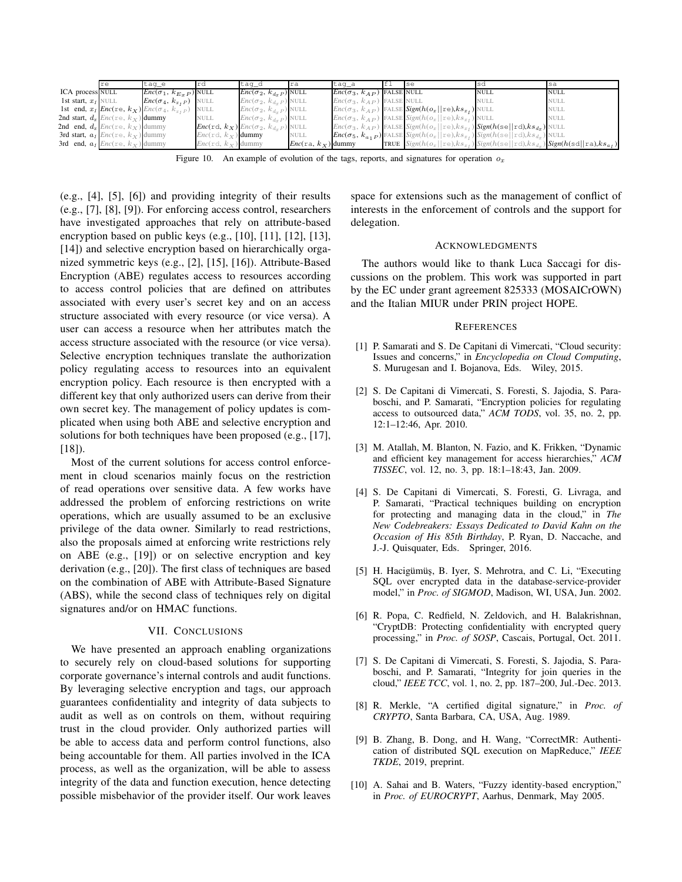|                       | re                                             | tag e                                                                              |                             | taq_d                                              | ra                          | taq_a                              | <sub>se</sub>                                                                                     | <b>sd</b>   | sa                                                                                                       |
|-----------------------|------------------------------------------------|------------------------------------------------------------------------------------|-----------------------------|----------------------------------------------------|-----------------------------|------------------------------------|---------------------------------------------------------------------------------------------------|-------------|----------------------------------------------------------------------------------------------------------|
| ICA process NULL      |                                                | $Enc(\sigma_1, k_{E_TP})$ NULL                                                     |                             | $Enc(\sigma_2, k_{d,p})$ NULL                      |                             | $Enc(\sigma_3, k_{AP})$ FALSE NULL |                                                                                                   | <b>NULL</b> | <b>NULL</b>                                                                                              |
| 1st start, $x_1$ NULL |                                                | $Enc(\sigma_4, k_{x,P})$ NULL                                                      |                             | $Enc(\sigma_2, k_{d,p})$ NULL                      |                             | $Enc(\sigma_3, k_{AP})$ FALSE NULL |                                                                                                   | <b>NULL</b> | <b>NULL</b>                                                                                              |
|                       |                                                | 1st end, $x_1$ <i>Enc</i> (re, $k_X$ ) <i>Enc</i> ( $\sigma_4$ , $k_{x_1P}$ ) NULL |                             | $Enc(\sigma_2, k_{d_TP})$ NULL                     |                             |                                    | $Enc(\sigma_3, k_{AP})$ FALSE $Sign(h(o_x    re), ks_{x_1})$ NULL                                 |             | <b>NULL</b>                                                                                              |
|                       | 2nd start, $d_x$ <i>Enc</i> (re, $k_x$ ) dummy |                                                                                    | NULL                        | $Enc(\sigma_2, k_{d,p})$ NULL                      |                             |                                    | $Enc(\sigma_3, k_{AP})$ FALSE $Sign(h(o_x    re), ks_{x_1})$ NULL                                 |             | <b>NULL</b>                                                                                              |
|                       | 2nd end, $d_x$ <i>Enc</i> (re, $k_x$ ) dummy   |                                                                                    |                             | $Enc(\text{rd}, k_X) Enc(\sigma_2, k_{d_xP})$ NULL |                             |                                    | $Enc(\sigma_3, k_{AP})$ FALSE $Sign(h(o_x    re), ks_{x_1})$ $Sign(h(se    rel), ks_{dx})$ NULL   |             |                                                                                                          |
|                       | 3rd start, $a_1$ <i>Enc</i> (re, $k_X$ ) dummy |                                                                                    | $Enc(\text{rd}, k_X)$ dummy |                                                    | <b>NULL</b>                 |                                    | $Enc(\sigma_5, k_{a_1P})$ FALSE $Sign(h(o_x    re), ks_{x_1})$ $Sign(h(se    rd), ks_{d_x})$ NULL |             |                                                                                                          |
|                       | 3rd end, $a_1$ <i>Enc</i> (re, $k_X$ ) dummy   |                                                                                    | $Enc(\text{rd}, k_X)$ dummy |                                                    | $Enc(\text{ra}, k_X)$ dummy |                                    |                                                                                                   |             | TRUE $Sign(h(o_x    re), ks_x)$ Sign(h(se  rd),ks <sub>dx</sub> ) <b>Sign(h(sd  ra),ks<sub>at</sub>)</b> |

Figure 10. An example of evolution of the tags, reports, and signatures for operation  $o_x$ 

(e.g., [4], [5], [6]) and providing integrity of their results (e.g., [7], [8], [9]). For enforcing access control, researchers have investigated approaches that rely on attribute-based encryption based on public keys (e.g., [10], [11], [12], [13], [14]) and selective encryption based on hierarchically organized symmetric keys (e.g., [2], [15], [16]). Attribute-Based Encryption (ABE) regulates access to resources according to access control policies that are defined on attributes associated with every user's secret key and on an access structure associated with every resource (or vice versa). A user can access a resource when her attributes match the access structure associated with the resource (or vice versa). Selective encryption techniques translate the authorization policy regulating access to resources into an equivalent encryption policy. Each resource is then encrypted with a different key that only authorized users can derive from their own secret key. The management of policy updates is complicated when using both ABE and selective encryption and solutions for both techniques have been proposed (e.g., [17],  $[18]$ .

Most of the current solutions for access control enforcement in cloud scenarios mainly focus on the restriction of read operations over sensitive data. A few works have addressed the problem of enforcing restrictions on write operations, which are usually assumed to be an exclusive privilege of the data owner. Similarly to read restrictions, also the proposals aimed at enforcing write restrictions rely on ABE (e.g., [19]) or on selective encryption and key derivation (e.g., [20]). The first class of techniques are based on the combination of ABE with Attribute-Based Signature (ABS), while the second class of techniques rely on digital signatures and/or on HMAC functions.

# VII. CONCLUSIONS

We have presented an approach enabling organizations to securely rely on cloud-based solutions for supporting corporate governance's internal controls and audit functions. By leveraging selective encryption and tags, our approach guarantees confidentiality and integrity of data subjects to audit as well as on controls on them, without requiring trust in the cloud provider. Only authorized parties will be able to access data and perform control functions, also being accountable for them. All parties involved in the ICA process, as well as the organization, will be able to assess integrity of the data and function execution, hence detecting possible misbehavior of the provider itself. Our work leaves space for extensions such as the management of conflict of interests in the enforcement of controls and the support for delegation.

#### ACKNOWLEDGMENTS

The authors would like to thank Luca Saccagi for discussions on the problem. This work was supported in part by the EC under grant agreement 825333 (MOSAICrOWN) and the Italian MIUR under PRIN project HOPE.

#### **REFERENCES**

- [1] P. Samarati and S. De Capitani di Vimercati, "Cloud security: Issues and concerns," in *Encyclopedia on Cloud Computing*, S. Murugesan and I. Bojanova, Eds. Wiley, 2015.
- [2] S. De Capitani di Vimercati, S. Foresti, S. Jajodia, S. Paraboschi, and P. Samarati, "Encryption policies for regulating access to outsourced data," *ACM TODS*, vol. 35, no. 2, pp. 12:1–12:46, Apr. 2010.
- [3] M. Atallah, M. Blanton, N. Fazio, and K. Frikken, "Dynamic and efficient key management for access hierarchies," *ACM TISSEC*, vol. 12, no. 3, pp. 18:1–18:43, Jan. 2009.
- [4] S. De Capitani di Vimercati, S. Foresti, G. Livraga, and P. Samarati, "Practical techniques building on encryption for protecting and managing data in the cloud," in *The New Codebreakers: Essays Dedicated to David Kahn on the Occasion of His 85th Birthday*, P. Ryan, D. Naccache, and J.-J. Quisquater, Eds. Springer, 2016.
- [5] H. Hacigümüs, B. Iyer, S. Mehrotra, and C. Li, "Executing SQL over encrypted data in the database-service-provider model," in *Proc. of SIGMOD*, Madison, WI, USA, Jun. 2002.
- [6] R. Popa, C. Redfield, N. Zeldovich, and H. Balakrishnan, "CryptDB: Protecting confidentiality with encrypted query processing," in *Proc. of SOSP*, Cascais, Portugal, Oct. 2011.
- [7] S. De Capitani di Vimercati, S. Foresti, S. Jajodia, S. Paraboschi, and P. Samarati, "Integrity for join queries in the cloud," *IEEE TCC*, vol. 1, no. 2, pp. 187–200, Jul.-Dec. 2013.
- [8] R. Merkle, "A certified digital signature," in *Proc. of CRYPTO*, Santa Barbara, CA, USA, Aug. 1989.
- [9] B. Zhang, B. Dong, and H. Wang, "CorrectMR: Authentication of distributed SQL execution on MapReduce," *IEEE TKDE*, 2019, preprint.
- [10] A. Sahai and B. Waters, "Fuzzy identity-based encryption," in *Proc. of EUROCRYPT*, Aarhus, Denmark, May 2005.